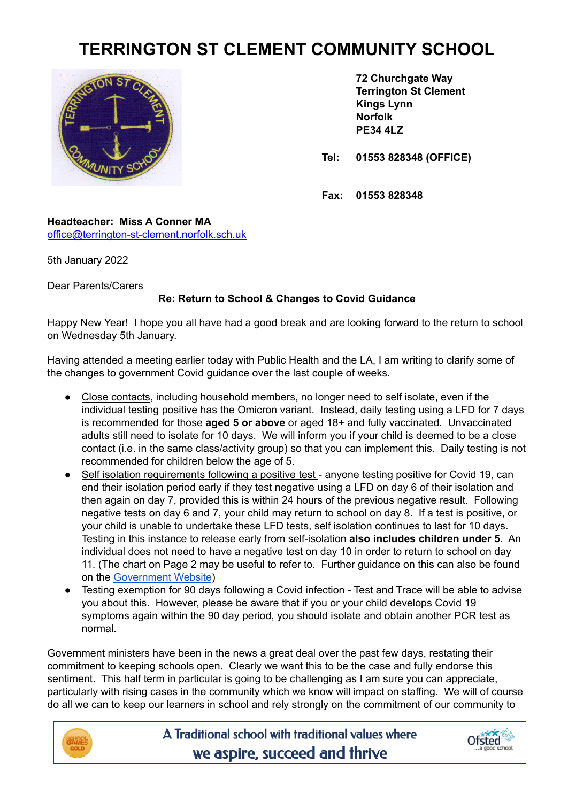## **TERRINGTON ST CLEMENT COMMUNITY SCHOOL**



**72 Churchgate Way Terrington St Clement Kings Lynn Norfolk PE34 4LZ**

**Tel: 01553 828348 (OFFICE)**

**Fax: 01553 828348**

**Headteacher: Miss A Conner MA** [office@terrington-st-clement.norfolk.sch.uk](mailto:office@terrington-st-clement.norfolk.sch.uk)

5th January 2022

Dear Parents/Carers

## **Re: Return to School & Changes to Covid Guidance**

Happy New Year! I hope you all have had a good break and are looking forward to the return to school on Wednesday 5th January.

Having attended a meeting earlier today with Public Health and the LA, I am writing to clarify some of the changes to government Covid guidance over the last couple of weeks.

- Close contacts, including household members, no longer need to self isolate, even if the individual testing positive has the Omicron variant. Instead, daily testing using a LFD for 7 days is recommended for those **aged 5 or above** or aged 18+ and fully vaccinated. Unvaccinated adults still need to isolate for 10 days. We will inform you if your child is deemed to be a close contact (i.e. in the same class/activity group) so that you can implement this. Daily testing is not recommended for children below the age of 5.
- Self isolation requirements following a positive test anyone testing positive for Covid 19, can end their isolation period early if they test negative using a LFD on day 6 of their isolation and then again on day 7, provided this is within 24 hours of the previous negative result. Following negative tests on day 6 and 7, your child may return to school on day 8. If a test is positive, or your child is unable to undertake these LFD tests, self isolation continues to last for 10 days. Testing in this instance to release early from self-isolation **also includes children under 5**. An individual does not need to have a negative test on day 10 in order to return to school on day 11. (The chart on Page 2 may be useful to refer to. Further guidance on this can also be found on the [Government](https://www.gov.uk/government/publications/covid-19-stay-at-home-guidance/stay-at-home-guidance-for-households-with-possible-coronavirus-covid-19-infection?utm_source=2%20January%202022%20C19&utm_medium=Daily%20Email%20C19&utm_campaign=DfE%20C19) Website)
- Testing exemption for 90 days following a Covid infection Test and Trace will be able to advise you about this. However, please be aware that if you or your child develops Covid 19 symptoms again within the 90 day period, you should isolate and obtain another PCR test as normal.

Government ministers have been in the news a great deal over the past few days, restating their commitment to keeping schools open. Clearly we want this to be the case and fully endorse this sentiment. This half term in particular is going to be challenging as I am sure you can appreciate, particularly with rising cases in the community which we know will impact on staffing. We will of course do all we can to keep our learners in school and rely strongly on the commitment of our community to



A Traditional school with traditional values where we aspire, succeed and thrive